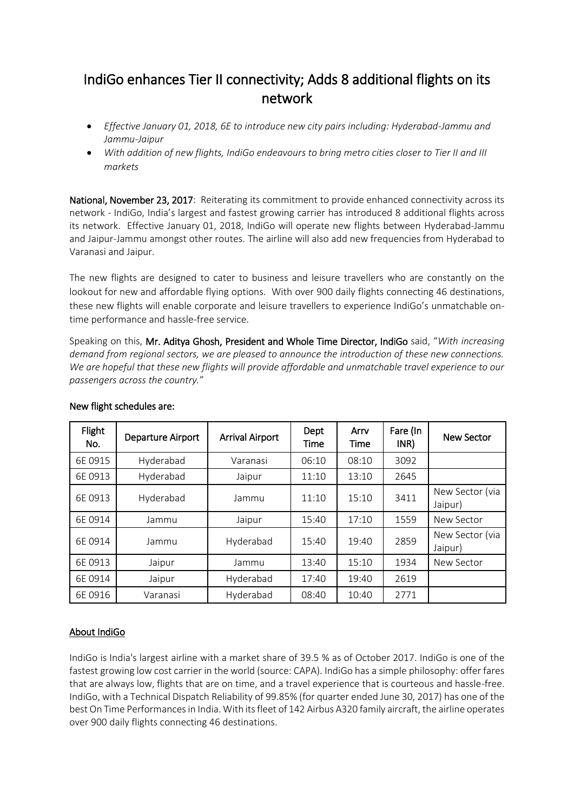## IndiGo enhances Tier II connectivity; Adds 8 additional flights on its network

- *Effective January 01, 2018, 6E to introduce new city pairs including: Hyderabad-Jammu and Jammu-Jaipur*
- *With addition of new flights, IndiGo endeavours to bring metro cities closer to Tier II and III markets*

National, November 23, 2017: Reiterating its commitment to provide enhanced connectivity across its network - IndiGo, India's largest and fastest growing carrier has introduced 8 additional flights across its network. Effective January 01, 2018, IndiGo will operate new flights between Hyderabad-Jammu and Jaipur-Jammu amongst other routes. The airline will also add new frequencies from Hyderabad to Varanasi and Jaipur.

The new flights are designed to cater to business and leisure travellers who are constantly on the lookout for new and affordable flying options. With over 900 daily flights connecting 46 destinations, these new flights will enable corporate and leisure travellers to experience IndiGo's unmatchable ontime performance and hassle-free service.

Speaking on this, Mr. Aditya Ghosh, President and Whole Time Director, IndiGo said, "*With increasing demand from regional sectors, we are pleased to announce the introduction of these new connections. We are hopeful that these new flights will provide affordable and unmatchable travel experience to our passengers across the country.*"

| Flight<br>No. | Departure Airport | <b>Arrival Airport</b> | Dept<br>Time | Arry<br>Time | Fare (In<br>INR) | <b>New Sector</b>          |
|---------------|-------------------|------------------------|--------------|--------------|------------------|----------------------------|
| 6E0915        | Hyderabad         | Varanasi               | 06:10        | 08:10        | 3092             |                            |
| 6E0913        | Hyderabad         | Jaipur                 | 11:10        | 13:10        | 2645             |                            |
| 6E0913        | Hyderabad         | Jammu                  | 11:10        | 15:10        | 3411             | New Sector (via<br>Jaipur) |
| 6E0914        | Jammu             | Jaipur                 | 15:40        | 17:10        | 1559             | New Sector                 |
| 6E0914        | Jammu             | Hyderabad              | 15:40        | 19:40        | 2859             | New Sector (via<br>Jaipur) |
| 6E0913        | Jaipur            | Jammu                  | 13:40        | 15:10        | 1934             | New Sector                 |
| 6E0914        | Jaipur            | Hyderabad              | 17:40        | 19:40        | 2619             |                            |
| 6E0916        | Varanasi          | Hyderabad              | 08:40        | 10:40        | 2771             |                            |

## New flight schedules are:

## About IndiGo

IndiGo is India's largest airline with a market share of 39.5 % as of October 2017. IndiGo is one of the fastest growing low cost carrier in the world (source: CAPA). IndiGo has a simple philosophy: offer fares that are always low, flights that are on time, and a travel experience that is courteous and hassle-free. IndiGo, with a Technical Dispatch Reliability of 99.85% (for quarter ended June 30, 2017) has one of the best On Time Performancesin India. With its fleet of 142 Airbus A320 family aircraft, the airline operates over 900 daily flights connecting 46 destinations.